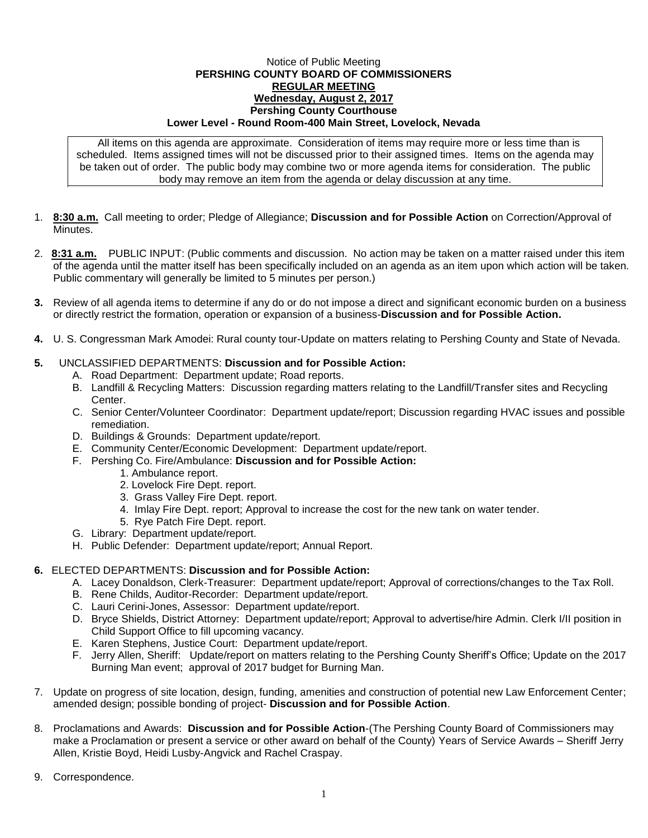## Notice of Public Meeting **PERSHING COUNTY BOARD OF COMMISSIONERS REGULAR MEETING Wednesday, August 2, 2017 Pershing County Courthouse Lower Level - Round Room-400 Main Street, Lovelock, Nevada**

All items on this agenda are approximate. Consideration of items may require more or less time than is scheduled. Items assigned times will not be discussed prior to their assigned times. Items on the agenda may be taken out of order. The public body may combine two or more agenda items for consideration. The public body may remove an item from the agenda or delay discussion at any time.

- 1. **8:30 a.m.** Call meeting to order; Pledge of Allegiance; **Discussion and for Possible Action** on Correction/Approval of Minutes.
- 2. **8:31 a.m.** PUBLIC INPUT: (Public comments and discussion. No action may be taken on a matter raised under this item of the agenda until the matter itself has been specifically included on an agenda as an item upon which action will be taken. Public commentary will generally be limited to 5 minutes per person.)
- **3.** Review of all agenda items to determine if any do or do not impose a direct and significant economic burden on a business or directly restrict the formation, operation or expansion of a business-**Discussion and for Possible Action.**
- **4.** U. S. Congressman Mark Amodei: Rural county tour-Update on matters relating to Pershing County and State of Nevada.

## **5.** UNCLASSIFIED DEPARTMENTS: **Discussion and for Possible Action:**

- A. Road Department: Department update; Road reports.
- B. Landfill & Recycling Matters: Discussion regarding matters relating to the Landfill/Transfer sites and Recycling Center.
- C. Senior Center/Volunteer Coordinator: Department update/report; Discussion regarding HVAC issues and possible remediation.
- D. Buildings & Grounds: Department update/report.
- E. Community Center/Economic Development: Department update/report.
- F. Pershing Co. Fire/Ambulance: **Discussion and for Possible Action:**
	- 1. Ambulance report.
	- 2. Lovelock Fire Dept. report.
	- 3. Grass Valley Fire Dept. report.
	- 4. Imlay Fire Dept. report; Approval to increase the cost for the new tank on water tender.
	- 5. Rye Patch Fire Dept. report.
- G. Library: Department update/report.
- H. Public Defender: Department update/report; Annual Report.

## **6.** ELECTED DEPARTMENTS: **Discussion and for Possible Action:**

- A. Lacey Donaldson, Clerk-Treasurer: Department update/report; Approval of corrections/changes to the Tax Roll.
- B. Rene Childs, Auditor-Recorder: Department update/report.
- C. Lauri Cerini-Jones, Assessor: Department update/report.
- D. Bryce Shields, District Attorney: Department update/report; Approval to advertise/hire Admin. Clerk I/II position in Child Support Office to fill upcoming vacancy.
- E. Karen Stephens, Justice Court: Department update/report.
- F. Jerry Allen, Sheriff: Update/report on matters relating to the Pershing County Sheriff's Office; Update on the 2017 Burning Man event; approval of 2017 budget for Burning Man.
- 7. Update on progress of site location, design, funding, amenities and construction of potential new Law Enforcement Center; amended design; possible bonding of project- **Discussion and for Possible Action**.
- 8. Proclamations and Awards: **Discussion and for Possible Action**-(The Pershing County Board of Commissioners may make a Proclamation or present a service or other award on behalf of the County) Years of Service Awards – Sheriff Jerry Allen, Kristie Boyd, Heidi Lusby-Angvick and Rachel Craspay.
- 9. Correspondence.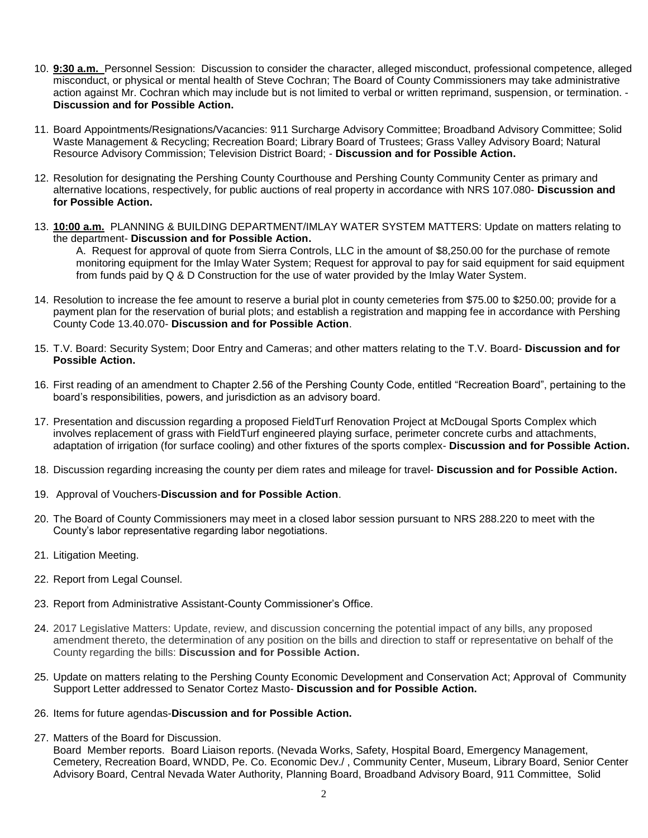- 10. **9:30 a.m.** Personnel Session: Discussion to consider the character, alleged misconduct, professional competence, alleged misconduct, or physical or mental health of Steve Cochran; The Board of County Commissioners may take administrative action against Mr. Cochran which may include but is not limited to verbal or written reprimand, suspension, or termination. - **Discussion and for Possible Action.**
- 11. Board Appointments/Resignations/Vacancies: 911 Surcharge Advisory Committee; Broadband Advisory Committee; Solid Waste Management & Recycling; Recreation Board; Library Board of Trustees; Grass Valley Advisory Board; Natural Resource Advisory Commission; Television District Board; - **Discussion and for Possible Action.**
- 12. Resolution for designating the Pershing County Courthouse and Pershing County Community Center as primary and alternative locations, respectively, for public auctions of real property in accordance with NRS 107.080- **Discussion and for Possible Action.**
- 13. **10:00 a.m.** PLANNING & BUILDING DEPARTMENT/IMLAY WATER SYSTEM MATTERS: Update on matters relating to the department- **Discussion and for Possible Action.**

A. Request for approval of quote from Sierra Controls, LLC in the amount of \$8,250.00 for the purchase of remote monitoring equipment for the Imlay Water System; Request for approval to pay for said equipment for said equipment from funds paid by Q & D Construction for the use of water provided by the Imlay Water System.

- 14. Resolution to increase the fee amount to reserve a burial plot in county cemeteries from \$75.00 to \$250.00; provide for a payment plan for the reservation of burial plots; and establish a registration and mapping fee in accordance with Pershing County Code 13.40.070- **Discussion and for Possible Action**.
- 15. T.V. Board: Security System; Door Entry and Cameras; and other matters relating to the T.V. Board- **Discussion and for Possible Action.**
- 16. First reading of an amendment to Chapter 2.56 of the Pershing County Code, entitled "Recreation Board", pertaining to the board's responsibilities, powers, and jurisdiction as an advisory board.
- 17. Presentation and discussion regarding a proposed FieldTurf Renovation Project at McDougal Sports Complex which involves replacement of grass with FieldTurf engineered playing surface, perimeter concrete curbs and attachments, adaptation of irrigation (for surface cooling) and other fixtures of the sports complex- **Discussion and for Possible Action.**
- 18. Discussion regarding increasing the county per diem rates and mileage for travel- **Discussion and for Possible Action.**
- 19. Approval of Vouchers-**Discussion and for Possible Action**.
- 20. The Board of County Commissioners may meet in a closed labor session pursuant to NRS 288.220 to meet with the County's labor representative regarding labor negotiations.
- 21. Litigation Meeting.
- 22. Report from Legal Counsel.
- 23. Report from Administrative Assistant-County Commissioner's Office.
- 24. 2017 Legislative Matters: Update, review, and discussion concerning the potential impact of any bills, any proposed amendment thereto, the determination of any position on the bills and direction to staff or representative on behalf of the County regarding the bills: **Discussion and for Possible Action.**
- 25. Update on matters relating to the Pershing County Economic Development and Conservation Act; Approval of Community Support Letter addressed to Senator Cortez Masto- **Discussion and for Possible Action.**
- 26. Items for future agendas-**Discussion and for Possible Action.**
- 27. Matters of the Board for Discussion.

Board Member reports. Board Liaison reports. (Nevada Works, Safety, Hospital Board, Emergency Management, Cemetery, Recreation Board, WNDD, Pe. Co. Economic Dev./ , Community Center, Museum, Library Board, Senior Center Advisory Board, Central Nevada Water Authority, Planning Board, Broadband Advisory Board, 911 Committee, Solid